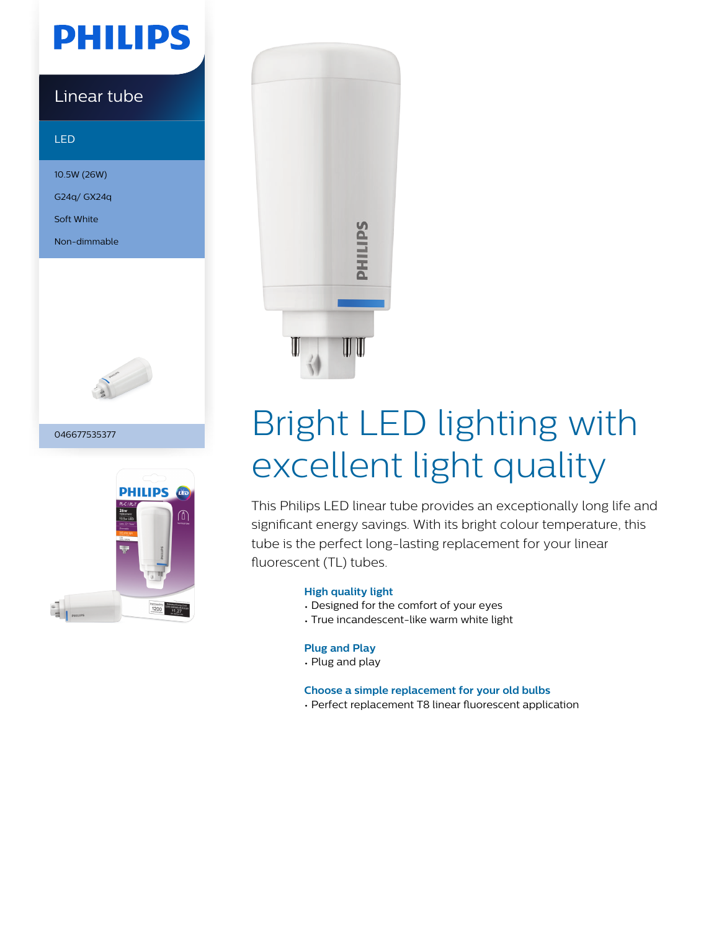# **PHILIPS**

## Linear tube

### LED

10.5W (26W) G24q/ GX24q

Soft White

Non-dimmable



### 046677535377





# Bright LED lighting with excellent light quality

This Philips LED linear tube provides an exceptionally long life and significant energy savings. With its bright colour temperature, this tube is the perfect long-lasting replacement for your linear fluorescent (TL) tubes.

### **High quality light**

- Designed for the comfort of your eyes
- True incandescent-like warm white light

### **Plug and Play**

• Plug and play

### **Choose a simple replacement for your old bulbs**

• Perfect replacement T8 linear fluorescent application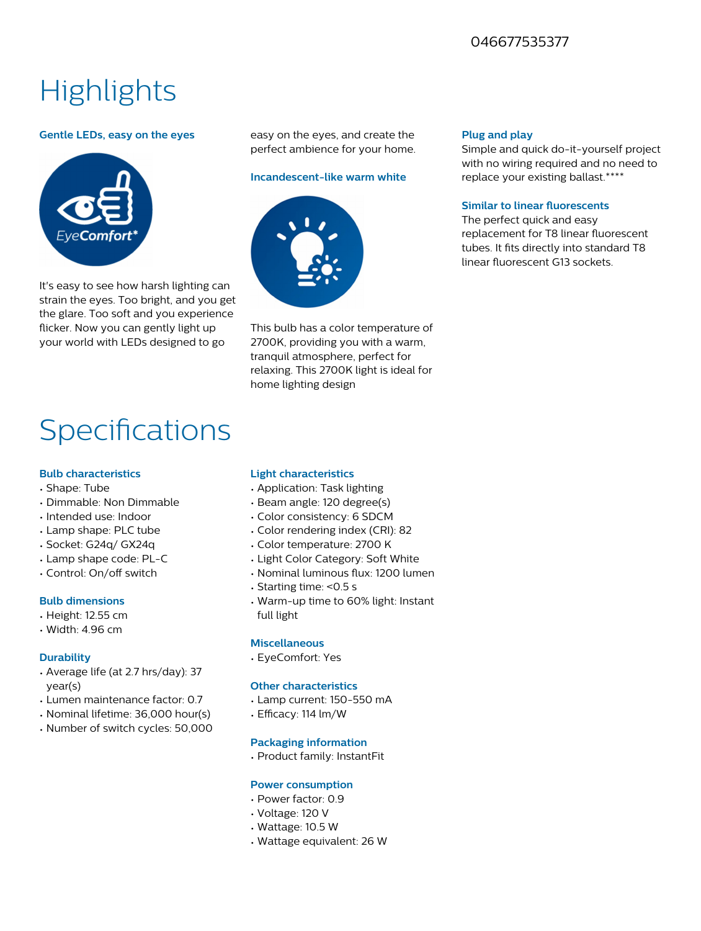### 046677535377

# **Highlights**

### **Gentle LEDs, easy on the eyes**



It's easy to see how harsh lighting can strain the eyes. Too bright, and you get the glare. Too soft and you experience flicker. Now you can gently light up your world with LEDs designed to go

easy on the eyes, and create the perfect ambience for your home.

### **Incandescent-like warm white**



This bulb has a color temperature of 2700K, providing you with a warm, tranquil atmosphere, perfect for relaxing. This 2700K light is ideal for home lighting design

### **Plug and play**

Simple and quick do-it-yourself project with no wiring required and no need to replace your existing ballast.\*\*\*\*

### **Similar to linear fluorescents**

The perfect quick and easy replacement for T8 linear fluorescent tubes. It fits directly into standard T8 linear fluorescent G13 sockets.

## **Specifications**

### **Bulb characteristics**

- Shape: Tube
- Dimmable: Non Dimmable
- Intended use: Indoor
- Lamp shape: PLC tube
- Socket: G24q/ GX24q
- Lamp shape code: PL-C
- Control: On/off switch

### **Bulb dimensions**

- Height: 12.55 cm
- Width: 4.96 cm

### **Durability**

- Average life (at 2.7 hrs/day): 37 year(s)
- Lumen maintenance factor: 0.7
- Nominal lifetime: 36,000 hour(s)
- Number of switch cycles: 50,000

### **Light characteristics**

- Application: Task lighting
- Beam angle: 120 degree(s)
- Color consistency: 6 SDCM
- Color rendering index (CRI): 82
- Color temperature: 2700 K
- Light Color Category: Soft White
- Nominal luminous flux: 1200 lumen
- Starting time: <0.5 s
- Warm-up time to 60% light: Instant full light

### **Miscellaneous**

• EyeComfort: Yes

### **Other characteristics**

- Lamp current: 150-550 mA
- Efficacy: 114 lm/W

### **Packaging information**

• Product family: InstantFit

### **Power consumption**

- Power factor: 0.9
- Voltage: 120 V
- Wattage: 10.5 W
- Wattage equivalent: 26 W